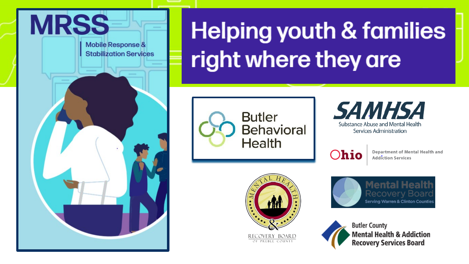

**Mobile Response & Stabilization Services** 

# **Helping youth & families** right where they are





 $O$ hio

Department of Mental Health and **Addiction Services** 



**Mental Health Recovery Board Serving Warren & Clinton Counties** 

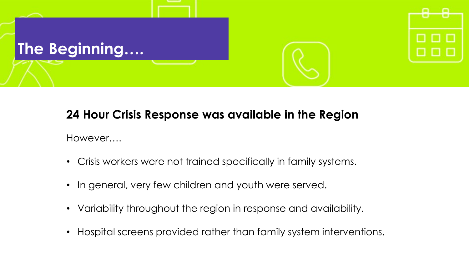

### **24 Hour Crisis Response was available in the Region**

However….

- Crisis workers were not trained specifically in family systems.
- In general, very few children and youth were served.
- Variability throughout the region in response and availability.
- Hospital screens provided rather than family system interventions.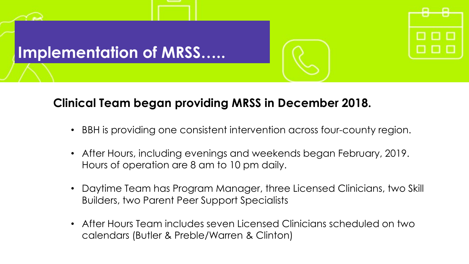

### **Clinical Team began providing MRSS in December 2018.**

- BBH is providing one consistent intervention across four-county region.
- After Hours, including evenings and weekends began February, 2019. Hours of operation are 8 am to 10 pm daily.
- Daytime Team has Program Manager, three Licensed Clinicians, two Skill Builders, two Parent Peer Support Specialists
- After Hours Team includes seven Licensed Clinicians scheduled on two calendars (Butler & Preble/Warren & Clinton)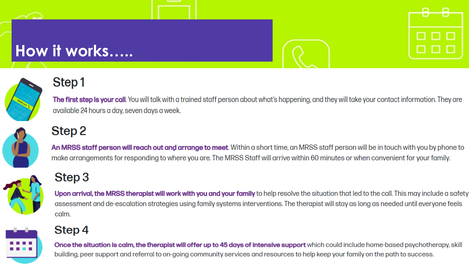### How it works.....



### Step1

**The first step is your call**. You will talk with a trained staff person about what's happening, and they will take your contact information. They are available 24 hours a day, seven days a week.

## Step<sub>2</sub>

An MRSS staff person will reach out and arrange to meet. Within a short time, an MRSS staff person will be in touch with you by phone to make arrangements for responding to where you are. The MRSS Staff will arrive within 60 minutes or when convenient for your family.

### Step 3

Upon arrival, the MRSS therapist will work with you and your family to help resolve the situation that led to the call. This may include a safety assessment and de-escalation strategies using family systems interventions. The therapist will stay as long as needed until everyone feels calm.

### Step 4

Once the situation is calm, the therapist will offer up to 45 days of intensive support which could include home-based psychotherapy, skill building, peer support and referral to on-going community services and resources to help keep your family on the path to success.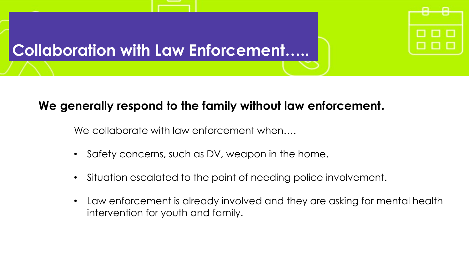

### **We generally respond to the family without law enforcement.**

We collaborate with law enforcement when....

- Safety concerns, such as DV, weapon in the home.
- Situation escalated to the point of needing police involvement.
- Law enforcement is already involved and they are asking for mental health intervention for youth and family.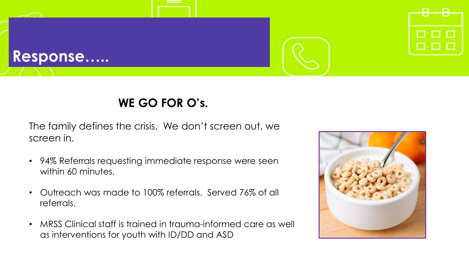

### **WE GO FOR O's.**

The family defines the crisis. We don't screen out, we screen in.

- 94% Referrals requesting immediate response were seen within 60 minutes.
- Outreach was made to 100% referrals. Served 76% of all referrals.
- MRSS Clinical staff is trained in trauma-informed care as well as interventions for youth with ID/DD and ASD

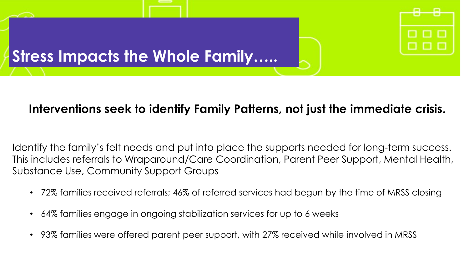

### **Interventions seek to identify Family Patterns, not just the immediate crisis.**

Identify the family's felt needs and put into place the supports needed for long-term success. This includes referrals to Wraparound/Care Coordination, Parent Peer Support, Mental Health, Substance Use, Community Support Groups

- 72% families received referrals; 46% of referred services had begun by the time of MRSS closing
- 64% families engage in ongoing stabilization services for up to 6 weeks
- 93% families were offered parent peer support, with 27% received while involved in MRSS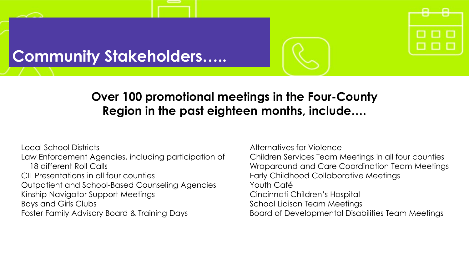### **Community Stakeholders…..**



### **Over 100 promotional meetings in the Four-County Region in the past eighteen months, include….**

Local School Districts Law Enforcement Agencies, including participation of 18 different Roll Calls CIT Presentations in all four counties Outpatient and School-Based Counseling Agencies Kinship Navigator Support Meetings Boys and Girls Clubs Foster Family Advisory Board & Training Days

Alternatives for Violence

Children Services Team Meetings in all four counties Wraparound and Care Coordination Team Meetings Early Childhood Collaborative Meetings Youth Café Cincinnati Children's Hospital School Liaison Team Meetings Board of Developmental Disabilities Team Meetings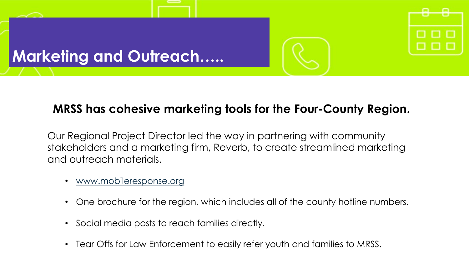

### **MRSS has cohesive marketing tools for the Four-County Region.**

Our Regional Project Director led the way in partnering with community stakeholders and a marketing firm, Reverb, to create streamlined marketing and outreach materials.

- [www.mobileresponse.org](http://www.mobileresponse.org/)
- One brochure for the region, which includes all of the county hotline numbers.
- Social media posts to reach families directly.
- Tear Offs for Law Enforcement to easily refer youth and families to MRSS.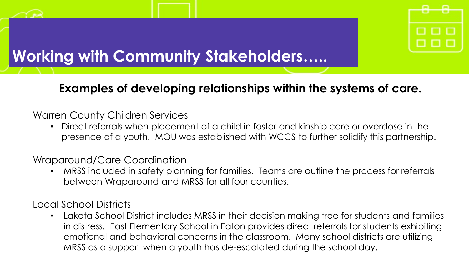

## **Working with Community Stakeholders…..**

### **Examples of developing relationships within the systems of care.**

#### Warren County Children Services

• Direct referrals when placement of a child in foster and kinship care or overdose in the presence of a youth. MOU was established with WCCS to further solidify this partnership.

#### Wraparound/Care Coordination

• MRSS included in safety planning for families. Teams are outline the process for referrals between Wraparound and MRSS for all four counties.

Local School Districts

• Lakota School District includes MRSS in their decision making tree for students and families in distress. East Elementary School in Eaton provides direct referrals for students exhibiting emotional and behavioral concerns in the classroom. Many school districts are utilizing MRSS as a support when a youth has de-escalated during the school day.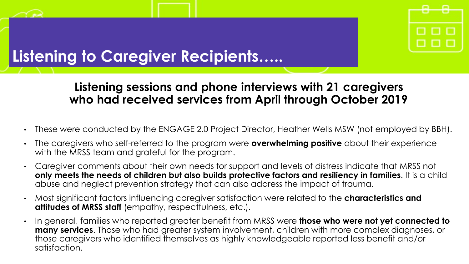

### **Listening to Caregiver Recipients…..**

### **Listening sessions and phone interviews with 21 caregivers who had received services from April through October 2019**

- These were conducted by the ENGAGE 2.0 Project Director, Heather Wells MSW (not employed by BBH).
- The caregivers who self-referred to the program were **overwhelming positive** about their experience with the MRSS team and grateful for the program.
- Caregiver comments about their own needs for support and levels of distress indicate that MRSS not **only meets the needs of children but also builds protective factors and resiliency in families**. It is a child abuse and neglect prevention strategy that can also address the impact of trauma.
- Most significant factors influencing caregiver satisfaction were related to the **characteristics and attitudes of MRSS staff** (empathy, respectfulness, etc.).
- In general, families who reported greater benefit from MRSS were **those who were not yet connected to many services**. Those who had greater system involvement, children with more complex diagnoses, or those caregivers who identified themselves as highly knowledgeable reported less benefit and/or satisfaction.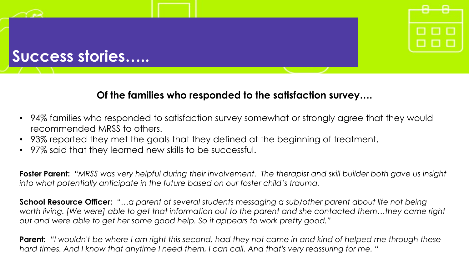### **Success stories…..**

#### **Of the families who responded to the satisfaction survey….**

- 94% families who responded to satisfaction survey somewhat or strongly agree that they would recommended MRSS to others.
- 93% reported they met the goals that they defined at the beginning of treatment.
- 97% said that they learned new skills to be successful.

**Foster Parent:** *"MRSS was very helpful during their involvement. The therapist and skill builder both gave us insight into what potentially anticipate in the future based on our foster child's trauma.*

**School Resource Officer:** *"…a parent of several students messaging a sub/other parent about life not being*  worth living. [We were] able to get that information out to the parent and she contacted them...they came right *out and were able to get her some good help. So it appears to work pretty good."*

**Parent:** *"I wouldn't be where I am right this second, had they not came in and kind of helped me through these hard times. And I know that anytime I need them, I can call. And that's very reassuring for me. "*